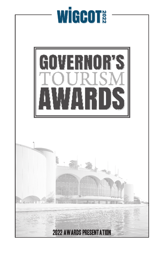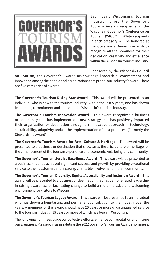

Each year, Wisconsin's tourism industry honors the Governor's Tourism Awards recipients at the Wisconsin Governor's Conference on Tourism (WIGCOT). While recipients in each category will be honored at the Governor's Dinner, we wish to recognize all the nominees for their dedication, creativity and excellence within the Wisconsin tourism industry.

Sponsored by the Wisconsin Council

on Tourism, the Governor's Awards acknowledge leadership, commitment and innovation among the people and organizations that propel our industry forward. There are five categories of awards.

The Governor's Tourism Rising Star Award - This award will be presented to an individual who is new to the tourism industry, within the last 5 years, and has shown leadership, commitment and a passion for Wisconsin's tourism industry.

The Governor's Tourism Innovation Award - This award recognizes a business or community that has implemented a new strategy that has positively impacted their organization or destination through an innovative approach in technology, sustainability, adaptivity and/or the implementation of best practices. (Formerly the Stewardship Award)

The Governor's Tourism Award for Arts, Culture & Heritage - This award will be presented to a business or destination that showcases the arts, culture or heritage for the enhancement of the tourism experience and economic well-being of a community.

The Governor's Tourism Service Excellence Award – This award will be presented to a business that has achieved significant success and growth by providing exceptional service to their customers and a strong, charitable involvement in their community.

The Governor's Tourism Diversity, Equity, Accessibility and Inclusion Award – This award will be presented to a business or destination that has demonstrated leadership in raising awareness or facilitating change to build a more inclusive and welcoming environment for visitors to Wisconsin.

The Governor's Tourism Legacy Award – This award will be presented to an individual who has shown a long-lasting and permanent contribution to the industry over the years. A nominee for this award should have 25 years or more of distinguished service to the tourism industry, 15 years or more of which has been in Wisconsin.

The following nominees guide our collective efforts, enhance our reputation and inspire our greatness. Please join us in saluting the 2022 Governor's Tourism Awards nominees.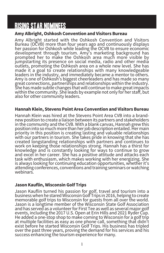### RISING STAR NOMINEES

#### Amy Albright, Oshkosh Convention and Visitors Bureau

Amy Albright started with the Oshkosh Convention and Visitors Bureau (OCVB) more than four years ago and continuously displays her passion for Oshkosh while leading the OCVB to ensure economic development through tourism. Amy's marketing background has prompted her to make the Oshkosh area much more visible by jumpstarting its presence on social media, radio and other media outlets, promoting the Oshkosh area on a whole new level. She has made it a goal to create relationships with many knowledgeable leaders in the industry, and immediately became a mentor to others. Amy is one of Oshkosh's biggest cheerleaders and has made so many great connections, partnerships and relationships within the industry. She has made subtle changes that will continue to make great impacts within the community. She leads by example not only for her staff, but also for other community leaders.

#### Hannah Klein, Stevens Point Area Convention and Visitors Bureau

Hannah Klein was hired at the Stevens Point Area CVB into a brandnew position to create a liaison between its partners and stakeholders in the community and the CVB. With a blank canvas, Hannah grew this position into so much more than her job description entailed. Her main priority in this position is creating lasting and valuable relationships with our partners in tourism. She takes pride in knowing that she has created longstanding relationships with partners and continues to work on keeping those relationships strong. Hannah has a thirst for knowledge and is constantly looking for ways to continue to grow and excel in her career. She has a positive attitude and attacks each task with enthusiasm, which makes working with her energizing. She is always looking for continuing education opportunities, whether it's attending conferences, conventions and training seminars or watching webinars.

#### Jason Kauflin, Wisconsin Golf Trips

Jason Kauflin turned his passion for golf, travel and tourism into a business when he stared Wisconsin Golf Trips in 2016, helping to create memorable golf trips to Wisconsin for guests from all over the world. Jason is a longtime member of the Wisconsin State Golf Association and has served as a volunteer for First Tee as well as several major golf events, including the 2017 U.S. Open at Erin Hills and 2021 Ryder Cup. He added a one-stop shop to make coming to Wisconsin for a golf trip at multiple facilities as easy as one phone call, something that didn't exist before he started Wisconsin Golf Trips. His business has tripled over the past three years, proving the demand for his services and his success enhancing the tourism experience for many.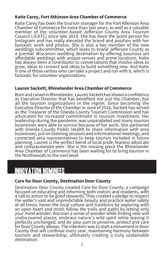#### Katie Carey, Fort Atkinson Area Chamber of Commerce

Katie Carey has been the tourism manager for the Fort Atkinson Area Chamber of Commerce for more than two years, as well as a valuable member of the volunteer-based Jefferson County Area Tourism Council (JCATC) since late 2019. She has been the point person for Instagram and has really elevated the brand and position with her fantastic work and photos. She is also a key member of the new weddings subcommittee, which looks to brand Jefferson County as a premier Wisconsin wedding destination by offering luxurious yet affordable weddings with unique venues and prime locations. Katie has always been a contributor to conversations that involve ideas to grow, ideas to connect and ideas to build something new. And Katie is one of those rarities who can take a project and run with it, which is fantastic for volunteer organizations.

#### Lauren Sackett, Rhinelander Area Chamber of Commerce

Born and raised in Rhinelander, Lauren Sackett has shown a confidence as Executive Director that has benefited not just the Chamber, but all the tourism organizations in the region. Since becoming the Executive Director of the Chamber in June of 2018, Sackett has served as the Treasurer of the Oneida County Tourism Commission and has advocated for increased commitment in tourism investment. Her leadership during the pandemic was unparalleled and many tourism businesses were able to survive because of her work. She partnered with Oneida County Public Health to share information with area businesses, put on listening sessions and informational meetings, and contacted area representatives to keep tourism included in future planning. Lauren is the perfect blend of local pride, fearless advocate and compassionate peer. She is the missing piece the Rhinelander Area Chamber of Commerce has been waiting for to bring tourism in the Northwoods to the next level.

### Innovation NOMINEES

#### Care for Door County, Destination Door County

Destination Door County created Care for Door County, a campaign focused on educating and informing both visitors and residents, with a call to action to be good stewards. They created a pledge to respect the water's vast and unpredictable beauty and practice water safety at all times; honor the local culture and traditions by exploring with an open heart and mind; follow the trails and paths by letting only your mind wander; discover a sense of wonder while finding new and undiscovered places; embrace nature's wild spirit while leaving it perfectly unchanged; and do your part to preserve, protect and care for Door County always. The intention was to start a movement in Door County that will continue every year, maintaining harmony between tourism and stewardship, ultimately creating a truly sustainable destination.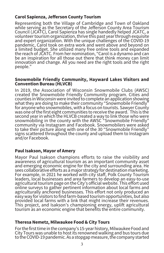#### Carol Sapienza, Jefferson County Tourism

Representing both the Village of Cambridge and Town of Oakland while serving as the Secretary of the Jefferson County Area Tourism Council (JCATC), Carol Sapienza has single handedly helped JCATC, a volunteer tourism organization, thrive this past year through exquisite and expert organization. With the unique challenges of the COVID-19 pandemic, Carol took on extra work and went above and beyond on a limited budget. She utilized many free online tools and expanded the reach of JCATC. From her nomination, "Carol is a dynamo and can be an inspiration for all those out there that think money can limit innovation and change. All you need are the right tools and the right people."

#### Snowmobile Friendly Community, Hayward Lakes Visitors and Convention Bureau (HLVCB)

In 2019, the Association of Wisconsin Snowmobile Clubs (AWSC) created the Snowmobile Friendly Community program. Cities and counties in Wisconsin were invited to complete an application showing what they are doing to make their community "Snowmobile Friendly" for anyone who snowmobiles, with a focus on tourists. Sawyer County was one of the first eight communities to receive the award. This is the second year in which the HLVCB created a way to link those who were snowmobiling in the county with the AWSC "Snowmobile Friendly" community via Instagram and Facebook. Snowmobilers were asked to take their picture along with one of the 30 "Snowmobile Friendly" signs scattered throughout the county and upload them to Instagram and/or Facebook.

#### Paul Isakson, Mayor of Amery

Mayor Paul Isakson champions efforts to raise the visibility and awareness of agricultural tourism as an important community asset and emerging economic engine for the city and surrounding area. He sees collaborative efforts as a major strategy for destination marketing. For example, in 2021 he worked with city staff, Polk County Tourism leaders, local businesses and area farmers to develop an easy-to-use agricultural tourism page on the City's official website. This effort used online surveys to gather pertinent information about local farms and agriculturally anchored businesses. This effort not only produced an easy way for visitors to find farm-based tourism opportunities, but also provided local farms with a link that might increase their revenues. This project, and Isakson's championing energy, uplift agricultural tourism as an economic engine that benefits the entire community.

#### Theresa Nemetz, Milwaukee Food & City Tours

For the first time in the company's 15-year history, Milwaukee Food and City Tours was unable to host its renowned walking and bus tours due to the COVID-19 pandemic. As a stopgap measure, the company started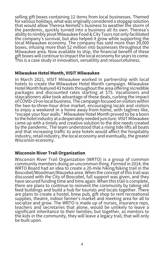selling gift boxes containing 12 items from local businesses. Themed for various holidays, what was originally considered a stopgap solution that would allow Theresa Nemetz's business to weather the storm of the pandemic, quickly turned into a business all its own. Theresa's ability to nimbly pivot Milwaukee Food & City Tours not only facilitated the company's survival, but also helped it grow while supporting the local Milwaukee economy. The company has sold more than 39,000 boxes, infusing more than \$2 million into businesses throughout the Milwaukee area. Now available to ship, the financial benefit of these gift boxes will continue to impact the local economy for years to come. This is a case study in innovation, versatility and resourcefulness.

#### Milwaukee Hotel Month, VISIT Milwaukee

In March 2021, VISIT Milwaukee worked in partnership with local hotels to create the Milwaukee Hotel Month campaign. Milwaukee Hotel Month featured 43 hotels throughout the area offering incredible packages and discounted rates starting at \$75. Vacationers and staycationers alike took advantage of these deals, curbing the impact of COVID-19 on local business. The campaign focused on visitors within the two-to-three-hour drive market, encouraging locals and visitors to enjoy a weekend in a home away-from-home, with taglines like, "escape your four walls." Milwaukee Hotel Month proved to be a boon to the hotel industry at a desperately needed juncture. VISIT Milwaukee came up with a timely and creative solution to the dire needs created by the pandemic. The team understood that a rising tide lifts all boats and that increasing traffic to area hotels would affect the hospitality industry, retail industry, the local economy and eventually, the greater Wisconsin economy.

#### Wisconsin River Trail Organization

Wisconsin River Trail Organization (WRTO) is a group of common community members doing an uncommon thing. Formed in 2014, the WRTO Board had an idea to create a 20-mile hiking/biking trail in the Boscobel/Woodman/Wauzeka area. When the concept of this trail was discussed with the City of Boscobel, full support was given, and they have secured funding time and time again. When this trail is complete, there are plans to continue to reinvent the community by taking old feed buildings and build a hub for tourists and locals together. There are plans to create a hostel, brew pub, gift shop to rent recreational supplies, theatre, indoor farmer's market and meeting area for all to socialize and grow. The WRTO is made up of nurses, insurance reps, teachers and secretaries that alone, would be unlikely to leave a significant inheritance to their families; but together, as mentors to the kids in the community, they will leave a legacy trail, that will only be built upon.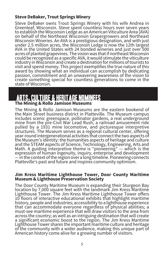#### Steve DeBaker, Trout Springs Winery

Steve DeBaker owns Trout Springs Winery with his wife Andrea in Greenleaf, Wisconsin. Steve spent countless hours over seven years to establish the Wisconsin Ledge as an American Viticulture Area (AVA) on behalf of the Northeast Wisconsin Grapergrowers and Northeast Wisconsin Wineries. An AVA is a prestigious designation, and with just under 2.5 million acres, the Wisconsin Ledge is now the 12th largest AVA in the United States with 24 bonded wineries and just over 500 acres of planted grapevines. The vision was that if northeast Wisconsin could be recognized as a specific AVA, it would stimulate the viticulture industry in Wisconsin and create a destination for millions of tourists to visit and spend money. This project exemplifies the true nature of this award by showing what an individual can accomplish by dedicating passion, commitment and an unwavering awareness of the vision to create something special for countless generations to come in the state of Wisconsin.

### The Mining & Rollo Jamison Museums ARTS, CULTURE & HERITAGE NOMINEES

The Mining & Rollo Jamison Museums are the eastern bookend of the Main Street business district in Platteville. The Museum campus includes scenic greenspace, pollinator gardens, a real underground mine from the pre-Civil War Lead Rush, a railroad amusement ride pulled by a 1931 mine locomotive, and picturesque interpretive structures. The Museum serves as a regional cultural center, offering year-round intergenerational activities that connect the two aspects of the Museum's identity: the humanities aspects of heritage and culture and the STEAM aspects of Science, Technology, Engineering, Arts and Math. A guiding interpretive theme is "pioneering"  $-$  which is the expression of human ingenuity, inquiry, enterprise and development  $-$  in the context of the region over a long timeline. Pioneering connects Platteville's past and future and inspires community optimism.

#### Jim Kress Maritime Lighthouse Tower, Door County Maritime Museum & Lighthouse Preservation Society

The Door County Maritime Museum is expanding their Sturgeon Bay location by 7,000 square feet with the landmark Jim Kress Maritime Lighthouse Tower. The Jim Kress Maritime Lighthouse Tower offers 10 floors of interactive educational exhibits that highlight maritime history, people and industries; accessibility to a lighthouse experience that can accommodate everyone regardless of physical abilities; a must-see maritime experience that will draw visitors to the area from across the country; as well as an intriguing destination that will create a significant economic boost to the region. The Jim Kress Maritime Lighthouse Tower shares the important maritime culture and heritage of the community with a wider audience, making this unique part of American history come alive for a growing number of visitors.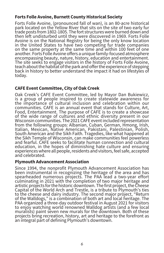#### Forts Folle Avoine, Burnett County Historical Society

Forts Folle Avoine, (pronounced fall of wan), is an 80-acre historical park located on the Yellow River that sits on the site of two early fur trade posts from 1802-1805. The fort structures were burned down and then left undisturbed until they were discovered in 1969. Forts Folle Avoine is on the National Registry for being the only know location in the United States to have two competing fur trade companies on the same property at the same time and within 100 feet of one another. Forts Folle Avoine offers a unique family-focused atmosphere encompassing beauty, nature, history, education and entertainment. The site seeks to engage visitors in the history of Forts Folle Avoine, teach about the habitat of the park and offer the experience of stepping back in history to better understand the impact it had on lifestyles of today.

#### CAFE Event Committee, City of Oak Creek

Oak Creek's CAFE Event Committee, led by Mayor Dan Bukiewicz, is a group of people inspired to create statewide awareness for the importance of cultural inclusion and celebration within our communities. CAFE is an annual event that stands for Culture, Art, Food, Entertainment. The purpose of CAFE is to create a showcase of the wide range of cultures and ethnic diversity present in our Wisconsin communities. The 2021 CAFE event included representation from the following groups: Albanian, Cuban, German, Hmong, Irish, Italian, Mexican, Native American, Pakistani, Palestinian, Polish, South American and the Sikh Faith. Tragedies, like what happened at the Sikh Temple of Wisconsin, can make communities feel powerless and fearful. CAFE seeks to facilitate human connection and cultural education, in the hopes of diminishing hate culture and ensuring experiences where all people, residents and visitors, feel safe, accepted and celebrated.

#### Plymouth Advancement Association

Since 1994, the nonprofit Plymouth Advancement Association has been instrumental in recognizing the heritage of the area and has spearheaded numerous projects. The PAA lead a two-year effort culminating in 2021 with the completion of two major heritage and artistic projects for the historic downtown. The first project, the Cheese Capital of the World Arch and Trestle, is a tribute to Plymouth's ties to the cheese and dairy industry. The second major project, "Return of the Walldogs," is a combination of both art and local heritage. The PAA organized a three-day outdoor festival in August 2021 for visitors to enjoy watching world renowned Walldog artists (and a few local muralists) paint seven new murals for the downtown. Both of these projects bring recreation, history, art and heritage to the forefront as an integral part of defining Plymouth's downtown.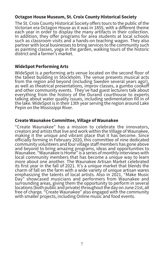#### Octagon House Museum, St. Croix County Historical Society

The St. Croix County Historical Society offers tours to the public of the Victorian era Octagon House as it was in 1855, with a different theme each year in order to display the many artifacts in their collection. In addition, they offer programs for area students at local schools such as classroom visits and a hands-on teaching wagon. They also partner with local businesses to bring services to the community such as painting classes, yoga in the garden, walking tours of the historic district and a farmer's market.

#### WideSpot Performing Arts

WideSpot is a performing arts venue located on the second floor of the tallest building in Stockholm. The venue presents musical acts from the region and beyond (including Sweden several years ago!), as well as theatrical presentations, improv classes, a gumbo cookoff and other community events. They've had guest lecturers talk about everything from the history of the Durand courthouse to experts talking about water quality issues, including sedimentation fill in of the lake. WideSpot is in their 13th year serving the region around Lake Pepin on the Mississippi River.

#### Create Waunakee Committee, Village of Waunakee

"Create Waunakee" has a mission to celebrate the innovators, creators and artists that live and work within the Village of Waunakee, making it the unique and vibrant place that it has become. Since officially forming in February 2020, this committee of nine dedicated community volunteers and four village staff members has gone above and beyond to bring amazing programs, ideas and opportunities to Waunakee. "Waunakee is Home" is a series of monthly interviews with local community members that has become a unique way to learn more about one another. The Waunakee Artisan Market celebrated its first year in the fall of 2021. It's a unique market that blends the charm of fall on the farm with a wide variety of unique artisan wares emphasizing the talents of local artists. Also in 2021, "Make Music Day" showcased musicians and performers from Waunakee and surrounding areas, giving them the opportunity to perform in several locations (both public and private) throughout the day on June 21st, all free of charge. "Create Waunakee" also engaged with the community with smaller projects, including Online music and food events.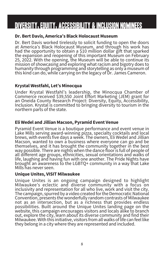# Diversity, Equity, Accessibility & Inclusion NOMINEES

#### Dr. Bert Davis, America's Black Holocaust Museum

Dr. Bert Davis worked tirelessly to solicit funding to open the doors at America's Black Holocaust Museum, and through his work has had the opportunity to obtain a \$10 million dollar gift that sparked the expansion and reopening of this important Museum on February 25, 2022. With the opening, the Museum will be able to continue its mission of showcasing and exploring what racism and bigotry does to humanity through programming and storytelling as only a museum of this kind can do, while carrying on the legacy of Dr. James Cameron.

#### Krystal Westfahl, Let's Minocqua

Under Krystal Westfahl's leadership, the Minocqua Chamber of Commerce received \$39,550 Joint Effort Marketing (JEM) grant for an Oneida County Research Project: Diversity, Equity, Accessibility, Inclusion. Krystal is committed to bringing diversity to tourism in the northern parts of the state.

#### Eli Wedel and Jillian Macson, Pyramid Event Venue

Pyramid Event Venue is a boutique performance and event venue in Lake Mills serving award-winning pizza, specialty cocktails and local brews, with events five days a week. The owners, Eli Wedel and Jillian Macson, wanted to own a business where everyone can go and be themselves, and it has brought the community together in the best way possible. There are nights when the dance floor is full of people of all different age groups, ethnicities, sexual orientations and walks of life, laughing and having fun with one another. The Pride Nights have brought an awareness to the LGBTQ+ community in a way that Lake Mills has never seen.

#### Unique Unites, VISIT Milwaukee

Unique Unites is an ongoing campaign designed to highlight Milwaukee's eclectic and diverse community with a focus on inclusivity and representation for all who live, work and visit the city. The campaign, spurred by a video created for the Democratic National Convention, presents the wonderfully random contrasts of Milwaukee not as an intersection, but as a richness that provides endless possibilities. Built around the Unique Unites landing page on the website, this campaign encourages visitors and locals alike to branch out, explore the city, learn about its diverse community and find their Milwaukee. With this initiative, visitors from all walks of life can feel like they belong in a city where they are represented and included.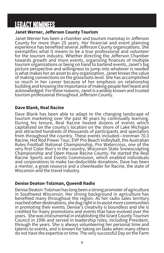# Legacy NOMINEES

#### Janet Werner, Jefferson County Tourism

Janet Werner has been a chamber and tourism mainstay in Jefferson County for more than 25 years. Her financial and event planning experience has benefited several Jefferson County organizations. She exemplifies what it means to be a true professional and volunteer for the tourism industry. Whether directing the Jefferson Chamber towards growth and more events, organizing finances of multiple tourism organizations or being on hand to bartend events, Janet's big picture perspective and willingness to jump into whatever is needed is what makes her an asset to any organization. Janet knows the value of making connections on the grassroots level. She has accomplished so much in her career because of her emphasis on relationship building and knowing the importance of making people feel heard and acknowledged. For these reasons, Janet is a widely known and trusted tourism professional throughout Jefferson County.

#### Dave Blank, Real Racine

Dave Blank has been able to adapt to the changing landscape of tourism marketing over the past 40 years by continually learning. During his tenure, Real Racine hosted dozens of events which capitalized on the county's location on the shore of Lake Michigan and attracted hundreds of thousands of participants and spectators from throughout the country. These events included—Ironman 70.3 Racine, Hot Rod Power Tour, EVP Pro Beach Volleyball, the Australian Rules Football National Championship, Pro Watercross, one of the very first Color Run's in the country, Wisconsin State Snowsculpting Championship and Open House Racine County. He started the Real Racine Sports and Events Commission, which enabled individuals and corporations to make tax-deductible donations. Dave has been a mentor, a great resource and a cheerleader for Racine, the state of Wisconsin and the travel industry.

#### Denise Deaton-Tolzman, QueenB Radio

Denise Deaton-Tolzman has long been a strong promoter of agriculture in Southwest Wisconsin. Her strong background in agriculture has benefited many throughout the region. As her radio sales territory reached other destinations, she dug right in to assist more communities in promoting their events. Denise's creativity is boundless and she is credited for many promotions and events that have evolved over the years. She was instrumental in establishing the Grant County Tourism Council in 1996 and served in leadership roles, including President, through the years. She is always volunteering her personal time and talents to events, and is known for taking on tasks when many others do not have the expertise or time. The very successful Day on the Farm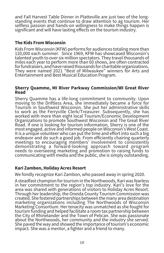and Fall Harvest Table Dinner in Platteville are just two of the longstanding events that continue to draw attention to ag tourism. Her selfless passion and hands-on willingness to make things happen is significant and will have lasting effects on the tourism industry.

#### The Kids From Wisconsin

Kids From Wisconsin (KFW) performs for audiences totaling more than 120,000 each summer. Since 1969, KFW has showcased Wisconsin's talented youth to over six million spectators. They travel thousands of miles each year to perform more than 60 shows, are often contracted for fundraisers, and have raised thousands for charitable organizations. They were named 2021 "Best of Milwaukee" winners for Arts and Entertainment and Best Musical Education Program.

#### Sherry Quamme, MI River Parkway Commission/WI Great River Road

Sherry Quamme has a life-long commitment to community. Upon moving to the Driftless Area, she immediately became a force for Tourism in Southwest Wisconsin. She put her administrative skills to work as the Ferryville Clerk/Treasurer. Subsequently, she has worked with more than eight local Tourism/Economic Development Organizations to promote Southwest Wisconsin and The Great River Road. If one is looking for tourism information, Sherry is one of the most engaged, active and informed people on Wisconsin's West Coast. It is a unique volunteer who can put the time and effort into such a big endeavor and do such a good job. From efficiently chairing quarterly meetings to encouraging members' involvement to consistently demonstrating a forward-looking approach toward program needs to overseeing marketing and promotion to raising funds to communicating with media and the public, she is simply outstanding.

#### Kari Zambon, Holiday Acres Resort

We fondly recognize Kari Zambon, who passed away in spring 2020.

A steadfast champion for tourism in the Northwoods, Kari was fearless in her commitment to the region's top industry. Kari's love for the area was shared with generations of visitors to Holiday Acres Resort. Through her leadership, the Oneida County Tourism Commission was created. She fostered partnerships between the many area destination marketing organizations including The Northwoods of Wisconsin Marketing Consortium. Her tenacity was unmatched as she fought for tourism funding and helped facilitate a room tax partnership between the City of Rhinelander and the Town of Pelican. She was passionate about the Northwoods, her community and the industry she served. She paved the way and showed the importance of tourism's economic impact. She was a mentor, a fighter and a friend to many.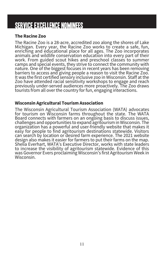# Service Excellence NOMINEES

#### The Racine Zoo

The Racine Zoo is a 28-acre, accredited zoo along the shores of Lake Michigan. Every year, the Racine Zoo works to create a safe, fun, enriching and educational place for all ages. The Zoo incorporates animals and wildlife conservation education into every part of their work. From guided scout hikes and preschool classes to summer camps and special events, they strive to connect the community with nature. One of the biggest focuses in recent years has been removing barriers to access and giving people a reason to visit the Racine Zoo. It was the first certified sensory inclusive zoo in Wisconsin. Staff at the Zoo have attended racial sensitivity workshops to engage and reach previously under-served audiences more proactively. The Zoo draws tourists from all over the country for fun, engaging interactions.

#### Wisconsin Agricultural Tourism Association

The Wisconsin Agricultural Tourism Association (WATA) advocates for tourism on Wisconsin farms throughout the state. The WATA Board connects with farmers on an ongoing basis to discuss issues, challenges and opportunities to expand agritourism in Wisconsin. The organization has a powerful and user-friendly website that makes it easy for people to find agritourism destinations statewide. Visitors can search by location or desired farm experience. The 2021 website design also makes it easier for farmers to put their farms on the map. Shelia Everhart, WATA's Executive Director, works with state leaders to increase the visibility of agritourism statewide. Evidence of this was Governor Evers proclaiming Wisconsin's first Agritourism Week in Wisconsin.